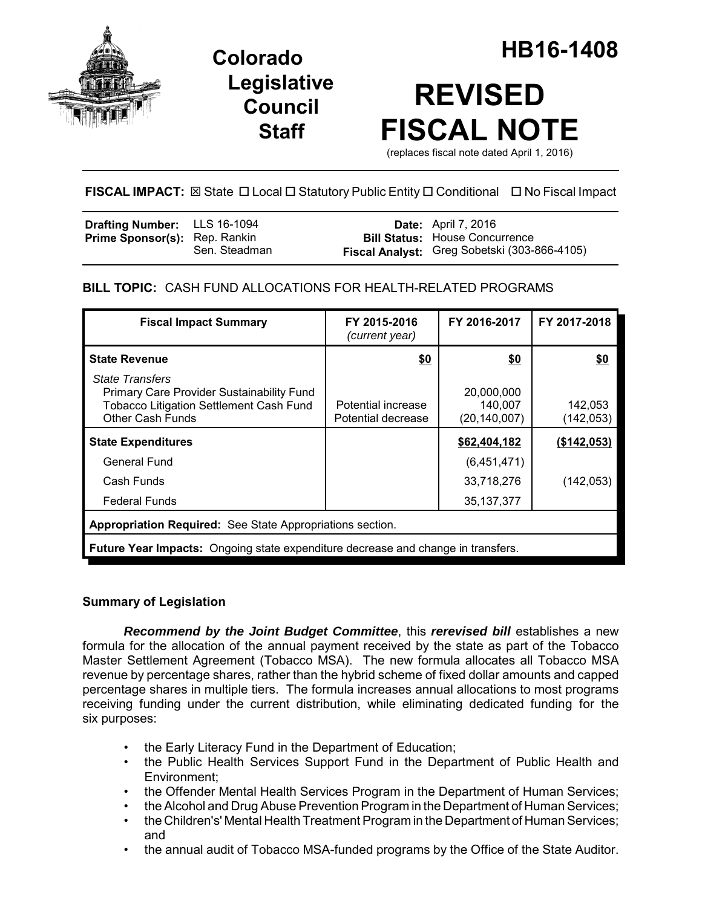

**Legislative Council Staff**

# **REVISED FISCAL NOTE**

(replaces fiscal note dated April 1, 2016)

# **FISCAL IMPACT:** ⊠ State □ Local □ Statutory Public Entity □ Conditional □ No Fiscal Impact

| <b>Drafting Number:</b> LLS 16-1094  |               | <b>Date:</b> April 7, 2016                   |
|--------------------------------------|---------------|----------------------------------------------|
| <b>Prime Sponsor(s):</b> Rep. Rankin |               | <b>Bill Status: House Concurrence</b>        |
|                                      | Sen. Steadman | Fiscal Analyst: Greg Sobetski (303-866-4105) |

# **BILL TOPIC:** CASH FUND ALLOCATIONS FOR HEALTH-RELATED PROGRAMS

| <b>Fiscal Impact Summary</b>                                                                                                                            | FY 2015-2016<br>(current year)           | FY 2016-2017                            | FY 2017-2018         |  |  |  |
|---------------------------------------------------------------------------------------------------------------------------------------------------------|------------------------------------------|-----------------------------------------|----------------------|--|--|--|
| <b>State Revenue</b>                                                                                                                                    | \$0                                      | \$0                                     | \$0                  |  |  |  |
| <b>State Transfers</b><br><b>Primary Care Provider Sustainability Fund</b><br><b>Tobacco Litigation Settlement Cash Fund</b><br><b>Other Cash Funds</b> | Potential increase<br>Potential decrease | 20,000,000<br>140,007<br>(20, 140, 007) | 142,053<br>(142,053) |  |  |  |
| <b>State Expenditures</b>                                                                                                                               |                                          | \$62,404,182                            | (\$142,053)          |  |  |  |
| General Fund                                                                                                                                            |                                          | (6,451,471)                             |                      |  |  |  |
| Cash Funds                                                                                                                                              |                                          | 33,718,276                              | (142, 053)           |  |  |  |
| <b>Federal Funds</b>                                                                                                                                    |                                          | 35, 137, 377                            |                      |  |  |  |
| Appropriation Required: See State Appropriations section.                                                                                               |                                          |                                         |                      |  |  |  |
| <b>Future Year Impacts:</b> Ongoing state expenditure decrease and change in transfers.                                                                 |                                          |                                         |                      |  |  |  |

# **Summary of Legislation**

*Recommend by the Joint Budget Committee*, this *rerevised bill* establishes a new formula for the allocation of the annual payment received by the state as part of the Tobacco Master Settlement Agreement (Tobacco MSA). The new formula allocates all Tobacco MSA revenue by percentage shares, rather than the hybrid scheme of fixed dollar amounts and capped percentage shares in multiple tiers. The formula increases annual allocations to most programs receiving funding under the current distribution, while eliminating dedicated funding for the six purposes:

- the Early Literacy Fund in the Department of Education;
- the Public Health Services Support Fund in the Department of Public Health and Environment;
- the Offender Mental Health Services Program in the Department of Human Services;
- the Alcohol and Drug Abuse Prevention Program in the Department of Human Services;
- the Children's' Mental Health Treatment Program in the Department of Human Services; and
- the annual audit of Tobacco MSA-funded programs by the Office of the State Auditor.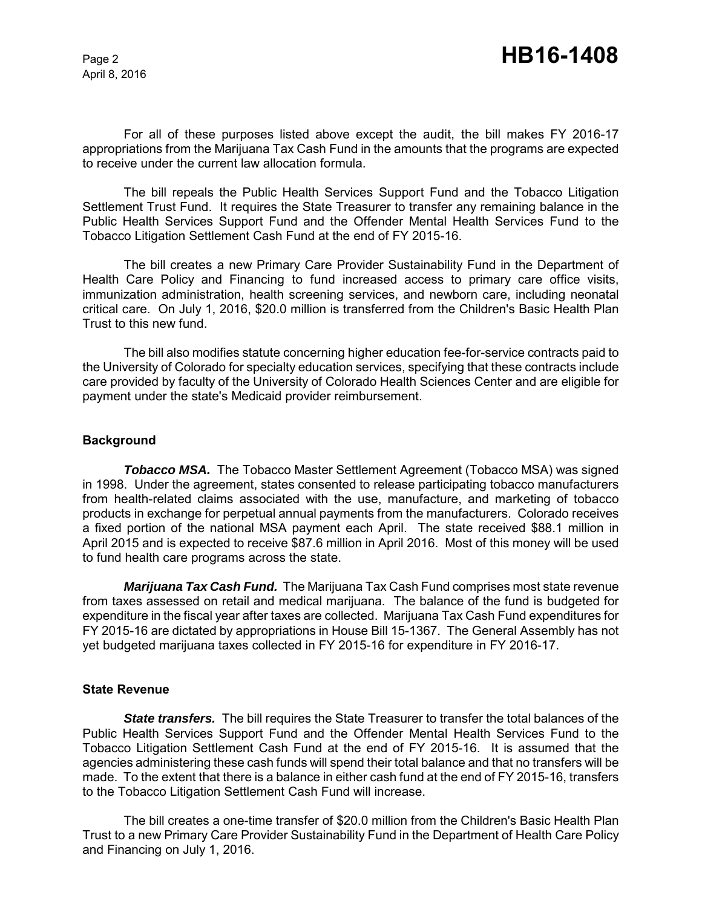For all of these purposes listed above except the audit, the bill makes FY 2016-17 appropriations from the Marijuana Tax Cash Fund in the amounts that the programs are expected to receive under the current law allocation formula.

The bill repeals the Public Health Services Support Fund and the Tobacco Litigation Settlement Trust Fund. It requires the State Treasurer to transfer any remaining balance in the Public Health Services Support Fund and the Offender Mental Health Services Fund to the Tobacco Litigation Settlement Cash Fund at the end of FY 2015-16.

The bill creates a new Primary Care Provider Sustainability Fund in the Department of Health Care Policy and Financing to fund increased access to primary care office visits, immunization administration, health screening services, and newborn care, including neonatal critical care. On July 1, 2016, \$20.0 million is transferred from the Children's Basic Health Plan Trust to this new fund.

The bill also modifies statute concerning higher education fee-for-service contracts paid to the University of Colorado for specialty education services, specifying that these contracts include care provided by faculty of the University of Colorado Health Sciences Center and are eligible for payment under the state's Medicaid provider reimbursement.

#### **Background**

*Tobacco MSA.* The Tobacco Master Settlement Agreement (Tobacco MSA) was signed in 1998. Under the agreement, states consented to release participating tobacco manufacturers from health-related claims associated with the use, manufacture, and marketing of tobacco products in exchange for perpetual annual payments from the manufacturers. Colorado receives a fixed portion of the national MSA payment each April. The state received \$88.1 million in April 2015 and is expected to receive \$87.6 million in April 2016. Most of this money will be used to fund health care programs across the state.

*Marijuana Tax Cash Fund.* The Marijuana Tax Cash Fund comprises most state revenue from taxes assessed on retail and medical marijuana. The balance of the fund is budgeted for expenditure in the fiscal year after taxes are collected. Marijuana Tax Cash Fund expenditures for FY 2015-16 are dictated by appropriations in House Bill 15-1367. The General Assembly has not yet budgeted marijuana taxes collected in FY 2015-16 for expenditure in FY 2016-17.

#### **State Revenue**

*State transfers.* The bill requires the State Treasurer to transfer the total balances of the Public Health Services Support Fund and the Offender Mental Health Services Fund to the Tobacco Litigation Settlement Cash Fund at the end of FY 2015-16. It is assumed that the agencies administering these cash funds will spend their total balance and that no transfers will be made. To the extent that there is a balance in either cash fund at the end of FY 2015-16, transfers to the Tobacco Litigation Settlement Cash Fund will increase.

The bill creates a one-time transfer of \$20.0 million from the Children's Basic Health Plan Trust to a new Primary Care Provider Sustainability Fund in the Department of Health Care Policy and Financing on July 1, 2016.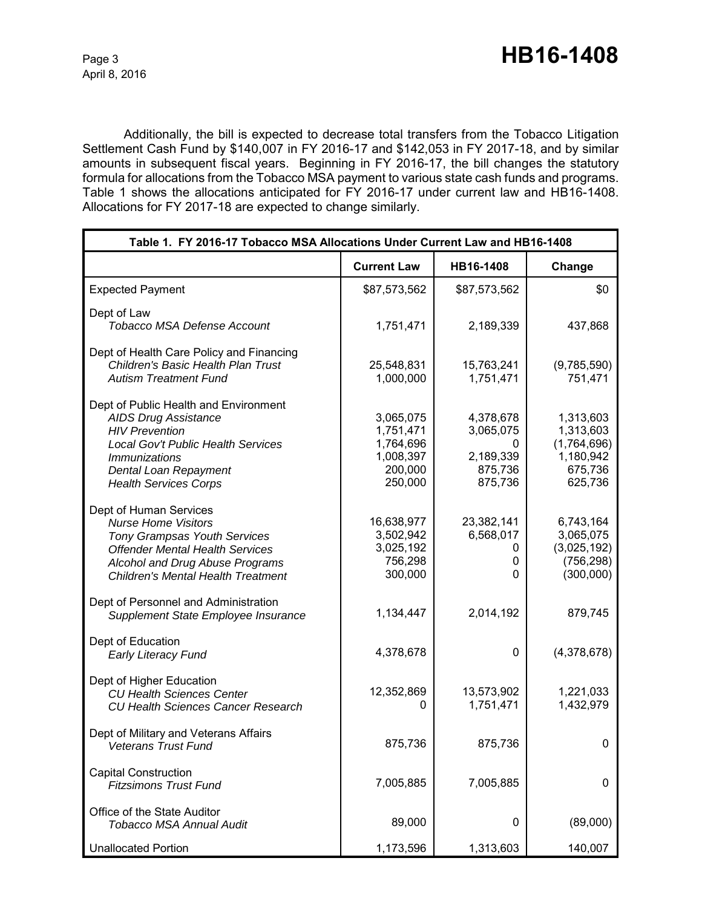Additionally, the bill is expected to decrease total transfers from the Tobacco Litigation Settlement Cash Fund by \$140,007 in FY 2016-17 and \$142,053 in FY 2017-18, and by similar amounts in subsequent fiscal years. Beginning in FY 2016-17, the bill changes the statutory formula for allocations from the Tobacco MSA payment to various state cash funds and programs. Table 1 shows the allocations anticipated for FY 2016-17 under current law and HB16-1408. Allocations for FY 2017-18 are expected to change similarly.

| Table 1. FY 2016-17 Tobacco MSA Allocations Under Current Law and HB16-1408                                                                                                                                           |                                                                        |                                                                |                                                                          |  |
|-----------------------------------------------------------------------------------------------------------------------------------------------------------------------------------------------------------------------|------------------------------------------------------------------------|----------------------------------------------------------------|--------------------------------------------------------------------------|--|
|                                                                                                                                                                                                                       | <b>Current Law</b>                                                     | HB16-1408                                                      | Change                                                                   |  |
| <b>Expected Payment</b>                                                                                                                                                                                               | \$87,573,562                                                           | \$87,573,562                                                   | \$0                                                                      |  |
| Dept of Law<br>Tobacco MSA Defense Account                                                                                                                                                                            | 1,751,471                                                              | 2,189,339                                                      | 437,868                                                                  |  |
| Dept of Health Care Policy and Financing<br><b>Children's Basic Health Plan Trust</b><br><b>Autism Treatment Fund</b>                                                                                                 | 25,548,831<br>1,000,000                                                | 15,763,241<br>1,751,471                                        | (9,785,590)<br>751,471                                                   |  |
| Dept of Public Health and Environment<br><b>AIDS Drug Assistance</b><br><b>HIV Prevention</b><br>Local Gov't Public Health Services<br><i>Immunizations</i><br>Dental Loan Repayment<br><b>Health Services Corps</b>  | 3,065,075<br>1,751,471<br>1,764,696<br>1,008,397<br>200,000<br>250,000 | 4,378,678<br>3,065,075<br>0<br>2,189,339<br>875,736<br>875,736 | 1,313,603<br>1,313,603<br>(1,764,696)<br>1,180,942<br>675,736<br>625,736 |  |
| Dept of Human Services<br><b>Nurse Home Visitors</b><br><b>Tony Grampsas Youth Services</b><br><b>Offender Mental Health Services</b><br>Alcohol and Drug Abuse Programs<br><b>Children's Mental Health Treatment</b> | 16,638,977<br>3,502,942<br>3,025,192<br>756,298<br>300,000             | 23,382,141<br>6,568,017<br>0<br>0<br>0                         | 6,743,164<br>3,065,075<br>(3,025,192)<br>(756, 298)<br>(300,000)         |  |
| Dept of Personnel and Administration<br>Supplement State Employee Insurance                                                                                                                                           | 1,134,447                                                              | 2,014,192                                                      | 879,745                                                                  |  |
| Dept of Education<br><b>Early Literacy Fund</b>                                                                                                                                                                       | 4,378,678                                                              | 0                                                              | (4,378,678)                                                              |  |
| Dept of Higher Education<br><b>CU Health Sciences Center</b><br><b>CU Health Sciences Cancer Research</b>                                                                                                             | 12,352,869<br>0                                                        | 13,573,902<br>1,751,471                                        | 1,221,033<br>1,432,979                                                   |  |
| Dept of Military and Veterans Affairs<br>Veterans Trust Fund                                                                                                                                                          | 875,736                                                                | 875,736                                                        | 0                                                                        |  |
| <b>Capital Construction</b><br><b>Fitzsimons Trust Fund</b>                                                                                                                                                           | 7,005,885                                                              | 7,005,885                                                      | 0                                                                        |  |
| Office of the State Auditor<br>Tobacco MSA Annual Audit                                                                                                                                                               | 89,000                                                                 | 0                                                              | (89,000)                                                                 |  |
| <b>Unallocated Portion</b>                                                                                                                                                                                            | 1,173,596                                                              | 1,313,603                                                      | 140,007                                                                  |  |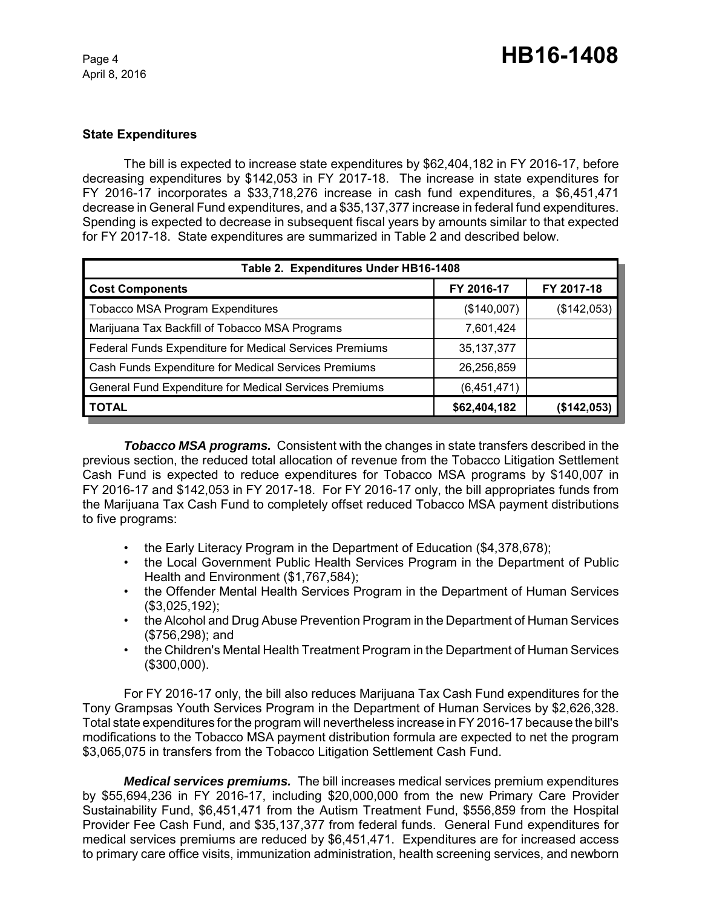## **State Expenditures**

The bill is expected to increase state expenditures by \$62,404,182 in FY 2016-17, before decreasing expenditures by \$142,053 in FY 2017-18. The increase in state expenditures for FY 2016-17 incorporates a \$33,718,276 increase in cash fund expenditures, a \$6,451,471 decrease in General Fund expenditures, and a \$35,137,377 increase in federal fund expenditures. Spending is expected to decrease in subsequent fiscal years by amounts similar to that expected for FY 2017-18. State expenditures are summarized in Table 2 and described below.

| Table 2. Expenditures Under HB16-1408                   |              |             |  |  |  |
|---------------------------------------------------------|--------------|-------------|--|--|--|
| <b>Cost Components</b>                                  | FY 2016-17   | FY 2017-18  |  |  |  |
| <b>Tobacco MSA Program Expenditures</b>                 | (\$140,007)  | (\$142,053) |  |  |  |
| Marijuana Tax Backfill of Tobacco MSA Programs          | 7,601,424    |             |  |  |  |
| Federal Funds Expenditure for Medical Services Premiums | 35, 137, 377 |             |  |  |  |
| Cash Funds Expenditure for Medical Services Premiums    | 26,256,859   |             |  |  |  |
| General Fund Expenditure for Medical Services Premiums  | (6,451,471)  |             |  |  |  |
| <b>TOTAL</b>                                            | \$62,404,182 | (\$142,053) |  |  |  |

*Tobacco MSA programs.* Consistent with the changes in state transfers described in the previous section, the reduced total allocation of revenue from the Tobacco Litigation Settlement Cash Fund is expected to reduce expenditures for Tobacco MSA programs by \$140,007 in FY 2016-17 and \$142,053 in FY 2017-18. For FY 2016-17 only, the bill appropriates funds from the Marijuana Tax Cash Fund to completely offset reduced Tobacco MSA payment distributions to five programs:

- the Early Literacy Program in the Department of Education (\$4,378,678);
- the Local Government Public Health Services Program in the Department of Public Health and Environment (\$1,767,584);
- the Offender Mental Health Services Program in the Department of Human Services (\$3,025,192);
- the Alcohol and Drug Abuse Prevention Program in the Department of Human Services (\$756,298); and
- the Children's Mental Health Treatment Program in the Department of Human Services (\$300,000).

For FY 2016-17 only, the bill also reduces Marijuana Tax Cash Fund expenditures for the Tony Grampsas Youth Services Program in the Department of Human Services by \$2,626,328. Total state expenditures for the program will nevertheless increase in FY 2016-17 because the bill's modifications to the Tobacco MSA payment distribution formula are expected to net the program \$3,065,075 in transfers from the Tobacco Litigation Settlement Cash Fund.

*Medical services premiums.* The bill increases medical services premium expenditures by \$55,694,236 in FY 2016-17, including \$20,000,000 from the new Primary Care Provider Sustainability Fund, \$6,451,471 from the Autism Treatment Fund, \$556,859 from the Hospital Provider Fee Cash Fund, and \$35,137,377 from federal funds. General Fund expenditures for medical services premiums are reduced by \$6,451,471. Expenditures are for increased access to primary care office visits, immunization administration, health screening services, and newborn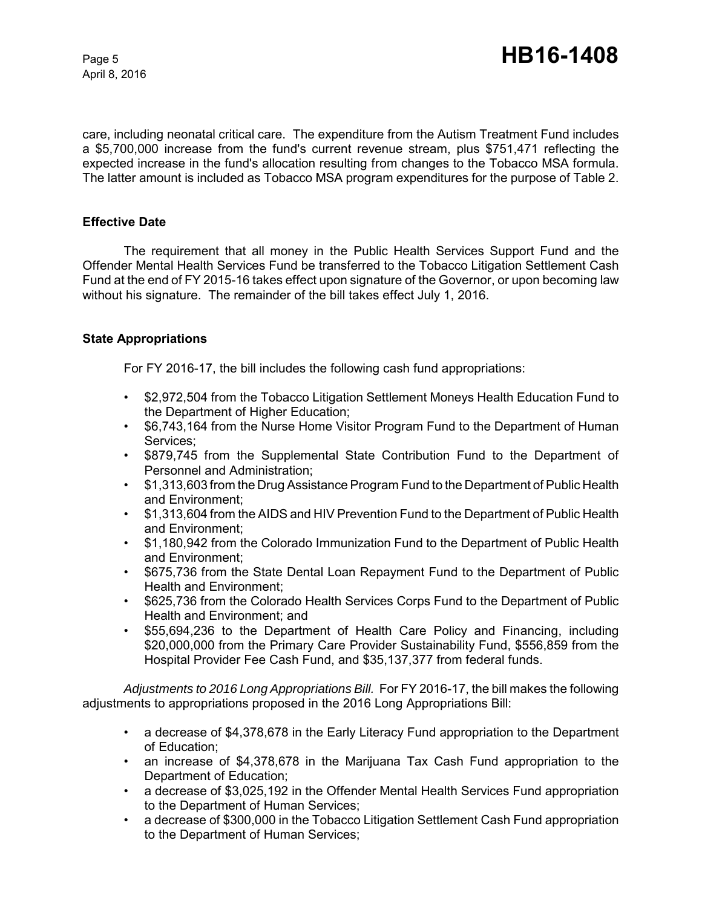care, including neonatal critical care. The expenditure from the Autism Treatment Fund includes a \$5,700,000 increase from the fund's current revenue stream, plus \$751,471 reflecting the expected increase in the fund's allocation resulting from changes to the Tobacco MSA formula. The latter amount is included as Tobacco MSA program expenditures for the purpose of Table 2.

## **Effective Date**

The requirement that all money in the Public Health Services Support Fund and the Offender Mental Health Services Fund be transferred to the Tobacco Litigation Settlement Cash Fund at the end of FY 2015-16 takes effect upon signature of the Governor, or upon becoming law without his signature. The remainder of the bill takes effect July 1, 2016.

## **State Appropriations**

For FY 2016-17, the bill includes the following cash fund appropriations:

- \$2,972,504 from the Tobacco Litigation Settlement Moneys Health Education Fund to the Department of Higher Education;
- \$6,743,164 from the Nurse Home Visitor Program Fund to the Department of Human Services;
- \$879,745 from the Supplemental State Contribution Fund to the Department of Personnel and Administration;
- \$1,313,603 from the Drug Assistance Program Fund to the Department of Public Health and Environment;
- \$1,313,604 from the AIDS and HIV Prevention Fund to the Department of Public Health and Environment;
- \$1,180,942 from the Colorado Immunization Fund to the Department of Public Health and Environment;
- \$675,736 from the State Dental Loan Repayment Fund to the Department of Public Health and Environment;
- \$625,736 from the Colorado Health Services Corps Fund to the Department of Public Health and Environment; and
- \$55,694,236 to the Department of Health Care Policy and Financing, including \$20,000,000 from the Primary Care Provider Sustainability Fund, \$556,859 from the Hospital Provider Fee Cash Fund, and \$35,137,377 from federal funds.

*Adjustments to 2016 Long Appropriations Bill.* For FY 2016-17, the bill makes the following adjustments to appropriations proposed in the 2016 Long Appropriations Bill:

- a decrease of \$4,378,678 in the Early Literacy Fund appropriation to the Department of Education;
- an increase of \$4,378,678 in the Marijuana Tax Cash Fund appropriation to the Department of Education;
- a decrease of \$3,025,192 in the Offender Mental Health Services Fund appropriation to the Department of Human Services;
- a decrease of \$300,000 in the Tobacco Litigation Settlement Cash Fund appropriation to the Department of Human Services;